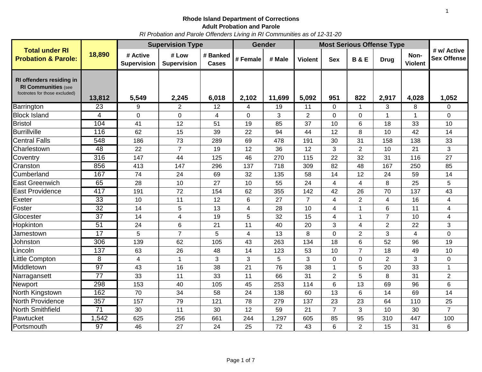1

*RI Probation and Parole Offenders Living in RI Communities as of 12-31-20*

|                                                                                         |                  | <b>Supervision Type</b>        |                             |                          |                | <b>Gender</b> | <b>Most Serious Offense Type</b> |                |                |                |                        |                                   |
|-----------------------------------------------------------------------------------------|------------------|--------------------------------|-----------------------------|--------------------------|----------------|---------------|----------------------------------|----------------|----------------|----------------|------------------------|-----------------------------------|
| <b>Total under RI</b><br><b>Probation &amp; Parole:</b>                                 | 18,890           | # Active<br><b>Supervision</b> | # Low<br><b>Supervision</b> | # Banked<br><b>Cases</b> | # Female       | # Male        | <b>Violent</b>                   | <b>Sex</b>     | <b>B&amp;E</b> | <b>Drug</b>    | Non-<br><b>Violent</b> | # w/ Active<br><b>Sex Offense</b> |
| RI offenders residing in<br><b>RI Communities (see</b><br>footnotes for those excluded) | 13,812           | 5,549                          | 2,245                       | 6,018                    | 2,102          | 11,699        | 5,092                            | 951            | 822            | 2,917          | 4,028                  | 1,052                             |
| Barrington                                                                              | 23               | 9                              | $\overline{2}$              | 12                       | 4              | 19            | 11                               | $\Omega$       | 1              | 3              | 8                      | 0                                 |
| <b>Block Island</b>                                                                     | $\overline{4}$   | $\mathbf 0$                    | 0                           | 4                        | $\mathbf 0$    | 3             | $\overline{2}$                   | $\overline{0}$ | $\mathbf 0$    | $\mathbf{1}$   | $\mathbf{1}$           | $\overline{0}$                    |
| <b>Bristol</b>                                                                          | 104              | 41                             | 12                          | 51                       | 19             | 85            | 37                               | 10             | 6              | 18             | 33                     | 10                                |
| <b>Burrillville</b>                                                                     | 116              | 62                             | 15                          | 39                       | 22             | 94            | 44                               | 12             | 8              | 10             | 42                     | 14                                |
| <b>Central Falls</b>                                                                    | $\overline{548}$ | 186                            | 73                          | 289                      | 69             | 478           | 191                              | 30             | 31             | 158            | 138                    | 33                                |
| Charlestown                                                                             | 48               | 22                             | $\overline{7}$              | 19                       | 12             | 36            | 12                               | 3              | $\overline{2}$ | 10             | 21                     | 3                                 |
| Coventry                                                                                | 316              | 147                            | 44                          | 125                      | 46             | 270           | 115                              | 22             | 32             | 31             | 116                    | 27                                |
| Cranston                                                                                | 856              | 413                            | 147                         | 296                      | 137            | 718           | 309                              | 82             | 48             | 167            | 250                    | 85                                |
| Cumberland                                                                              | 167              | 74                             | 24                          | 69                       | 32             | 135           | 58                               | 14             | 12             | 24             | 59                     | 14                                |
| <b>East Greenwich</b>                                                                   | 65               | 28                             | 10                          | 27                       | 10             | 55            | 24                               | 4              | 4              | 8              | 25                     | 5                                 |
| <b>East Providence</b>                                                                  | 417              | 191                            | 72                          | 154                      | 62             | 355           | 142                              | 42             | 26             | 70             | 137                    | 43                                |
| Exeter                                                                                  | $\overline{33}$  | 10                             | 11                          | 12                       | $6\phantom{1}$ | 27            | $\overline{7}$                   | 4              | $\overline{2}$ | 4              | 16                     | 4                                 |
| Foster                                                                                  | $\overline{32}$  | 14                             | 5                           | 13                       | 4              | 28            | 10                               | 4              | $\mathbf{1}$   | 6              | 11                     | 4                                 |
| Glocester                                                                               | $\overline{37}$  | 14                             | 4                           | 19                       | 5              | 32            | 15                               | 4              | $\mathbf{1}$   | $\overline{7}$ | 10                     | 4                                 |
| Hopkinton                                                                               | 51               | 24                             | 6                           | 21                       | 11             | 40            | 20                               | 3              | 4              | $\overline{2}$ | 22                     | 3                                 |
| Jamestown                                                                               | 17               | 5                              | $\overline{7}$              | 5                        | 4              | 13            | 8                                | $\overline{0}$ | $\overline{2}$ | 3              | 4                      | $\overline{0}$                    |
| Johnston                                                                                | 306              | 139                            | 62                          | 105                      | 43             | 263           | 134                              | 18             | 6              | 52             | 96                     | 19                                |
| Lincoln                                                                                 | 137              | 63                             | 26                          | 48                       | 14             | 123           | 53                               | 10             | $\overline{7}$ | 18             | 49                     | 10                                |
| Little Compton                                                                          | 8                | 4                              | 1                           | 3                        | 3              | 5             | 3                                | $\overline{0}$ | $\mathbf 0$    | $\overline{2}$ | 3                      | $\mathbf 0$                       |
| Middletown                                                                              | 97               | 43                             | 16                          | 38                       | 21             | 76            | 38                               | $\mathbf{1}$   | 5              | 20             | 33                     | $\mathbf{1}$                      |
| Narragansett                                                                            | $\overline{77}$  | 33                             | 11                          | 33                       | 11             | 66            | 31                               | $\overline{2}$ | 5              | 8              | 31                     | $\overline{2}$                    |
| Newport                                                                                 | 298              | 153                            | 40                          | 105                      | 45             | 253           | 114                              | 6              | 13             | 69             | 96                     | 6                                 |
| North Kingstown                                                                         | 162              | 70                             | 34                          | 58                       | 24             | 138           | 60                               | 13             | 6              | 14             | 69                     | 14                                |
| North Providence                                                                        | $\overline{357}$ | 157                            | 79                          | 121                      | 78             | 279           | 137                              | 23             | 23             | 64             | 110                    | 25                                |
| North Smithfield                                                                        | 71               | 30                             | 11                          | 30                       | 12             | 59            | 21                               | $\overline{7}$ | 3              | 10             | 30                     | $\overline{7}$                    |
| Pawtucket                                                                               | 1,542            | 625                            | 256                         | 661                      | 244            | 1,297         | 605                              | 85             | 95             | 310            | 447                    | 100                               |
| Portsmouth                                                                              | 97               | 46                             | 27                          | 24                       | 25             | 72            | 43                               | 6              | $\overline{2}$ | 15             | 31                     | 6                                 |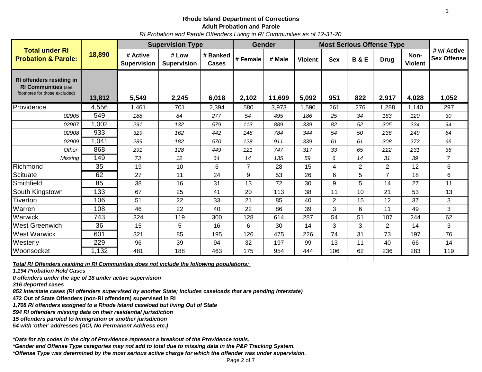*RI Probation and Parole Offenders Living in RI Communities as of 12-31-20*

|                                                                                         |                 | <b>Supervision Type</b>        |                             |                   | <b>Gender</b>  |        | <b>Most Serious Offense Type</b> |                |                |                |                        |                                   |
|-----------------------------------------------------------------------------------------|-----------------|--------------------------------|-----------------------------|-------------------|----------------|--------|----------------------------------|----------------|----------------|----------------|------------------------|-----------------------------------|
| <b>Total under RI</b><br><b>Probation &amp; Parole:</b>                                 | 18,890          | # Active<br><b>Supervision</b> | # Low<br><b>Supervision</b> | # Banked<br>Cases | # Female       | # Male | <b>Violent</b>                   | <b>Sex</b>     | <b>B&amp;E</b> | <b>Drug</b>    | Non-<br><b>Violent</b> | # w/ Active<br><b>Sex Offense</b> |
| RI offenders residing in<br><b>RI Communities (see</b><br>footnotes for those excluded) | 13,812          | 5,549                          | 2,245                       | 6,018             | 2,102          | 11,699 | 5,092                            | 951            | 822            | 2,917          | 4,028                  | 1,052                             |
|                                                                                         |                 |                                |                             |                   |                |        |                                  |                |                |                |                        |                                   |
| Providence                                                                              | 4,556           | 1,461                          | 701                         | 2,394             | 580            | 3,973  | 1,590                            | 261            | 276            | 1,288          | 1,140                  | 297                               |
| 02905                                                                                   | 549             | 188                            | 84                          | 277               | 54             | 495    | 186                              | 25             | 34             | 183            | 120                    | 30                                |
| 02907                                                                                   | 1,002           | 291                            | 132                         | 579               | 113            | 889    | 339                              | 82             | 52             | 305            | 224                    | 94                                |
| 02908                                                                                   | 933             | 329                            | 162                         | 442               | 148            | 784    | 344                              | 54             | 50             | 236            | 249                    | 64                                |
| 02909                                                                                   | 1,041           | 289                            | 182                         | 570               | 128            | 911    | 339                              | 61             | 61             | 308            | 272                    | 66                                |
| Other                                                                                   | 868             | 291                            | 128                         | 449               | 121            | 747    | 317                              | 33             | 65             | 222            | 231                    | 36                                |
| Missing                                                                                 | 149             | 73                             | 12                          | 64                | 14             | 135    | 59                               | 6              | 14             | 31             | 39                     | $\overline{7}$                    |
| Richmond                                                                                | 35              | 19                             | 10                          | 6                 | $\overline{7}$ | 28     | 15                               | 4              | $\overline{2}$ | $\overline{2}$ | 12                     | 6                                 |
| Scituate                                                                                | 62              | 27                             | 11                          | 24                | 9              | 53     | 26                               | 6              | 5              | $\overline{7}$ | 18                     | 6                                 |
| Smithfield                                                                              | 85              | 38                             | 16                          | 31                | 13             | 72     | 30                               | 9              | 5              | 14             | 27                     | 11                                |
| South Kingstown                                                                         | 133             | 67                             | 25                          | 41                | 20             | 113    | 38                               | 11             | 10             | 21             | 53                     | 13                                |
| Tiverton                                                                                | 106             | 51                             | 22                          | 33                | 21             | 85     | 40                               | $\overline{2}$ | 15             | 12             | 37                     | 3                                 |
| Warren                                                                                  | 108             | 46                             | 22                          | 40                | 22             | 86     | 39                               | 3              | 6              | 11             | 49                     | 3                                 |
| Warwick                                                                                 | 743             | 324                            | 119                         | 300               | 128            | 614    | 287                              | 54             | 51             | 107            | 244                    | 62                                |
| <b>West Greenwich</b>                                                                   | $\overline{36}$ | 15                             | 5                           | 16                | 6              | 30     | 14                               | 3              | 3              | $\overline{2}$ | 14                     | 3                                 |
| <b>West Warwick</b>                                                                     | 601             | 321                            | 85                          | 195               | 126            | 475    | 226                              | 74             | 31             | 73             | 197                    | 76                                |
| Westerly                                                                                | 229             | 96                             | 39                          | 94                | 32             | 197    | 99                               | 13             | 11             | 40             | 66                     | 14                                |
| Woonsocket                                                                              | 1,132           | 481                            | 188                         | 463               | 175            | 954    | 444                              | 106            | 62             | 236            | 283                    | 119                               |

*Total RI Offenders residing in RI Communities does not include the following populations:* 

*1,194 Probation Hold Cases*

*0 offenders under the age of 18 under active supervision*

*316 deported cases* 

*852 Interstate cases (RI offenders supervised by another State; includes caseloads that are pending Interstate)* 

**472 Out of State Offenders (non-RI offenders) supervised in RI** 

*1,708 RI offenders assigned to a Rhode Island caseload but living Out of State*

*594 RI offenders missing data on their residential jurisdiction*

*15 offenders paroled to Immigration or another jurisdiction*

*54 with 'other' addresses (ACI, No Permanent Address etc.)*

*\*Data for zip codes in the city of Providence represent a breakout of the Providence totals.*

*\*Gender and Offense Type categories may not add to total due to missing data in the P&P Tracking System.*

*\*Offense Type was determined by the most serious active charge for which the offender was under supervision.*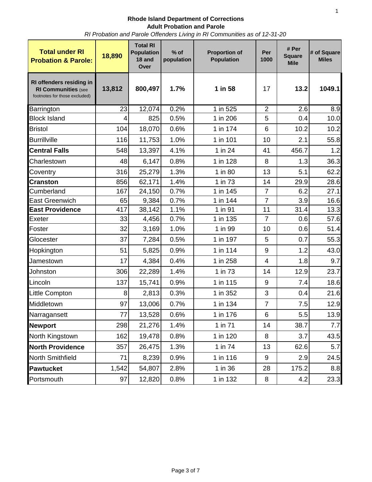*RI Probation and Parole Offenders Living in RI Communities as of 12-31-20*

| <b>Total under RI</b><br><b>Probation &amp; Parole:</b>                                 | 18,890 | <b>Total RI</b><br><b>Population</b><br>18 and<br>Over | $%$ of<br>population | <b>Proportion of</b><br><b>Population</b> | Per<br>1000    | # Per<br><b>Square</b><br><b>Mile</b> | # of Square<br><b>Miles</b> |
|-----------------------------------------------------------------------------------------|--------|--------------------------------------------------------|----------------------|-------------------------------------------|----------------|---------------------------------------|-----------------------------|
| RI offenders residing in<br><b>RI Communities (see</b><br>footnotes for those excluded) | 13,812 | 800,497                                                | 1.7%                 | 1 in 58                                   | 17             | 13.2                                  | 1049.1                      |
| Barrington                                                                              | 23     | 12,074                                                 | 0.2%                 | 1 in 525                                  | $\overline{2}$ | 2.6                                   | 8.9                         |
| <b>Block Island</b>                                                                     | 4      | 825                                                    | 0.5%                 | 1 in 206                                  | 5              | 0.4                                   | 10.0                        |
| <b>Bristol</b>                                                                          | 104    | 18,070                                                 | 0.6%                 | 1 in 174                                  | 6              | 10.2                                  | 10.2                        |
| <b>Burrillville</b>                                                                     | 116    | 11,753                                                 | 1.0%                 | 1 in 101                                  | 10             | 2.1                                   | 55.8                        |
| <b>Central Falls</b>                                                                    | 548    | 13,397                                                 | 4.1%                 | 1 in 24                                   | 41             | 456.7                                 | 1.2                         |
| Charlestown                                                                             | 48     | 6,147                                                  | 0.8%                 | 1 in 128                                  | 8              | 1.3                                   | 36.3                        |
| Coventry                                                                                | 316    | 25,279                                                 | 1.3%                 | 1 in 80                                   | 13             | 5.1                                   | 62.2                        |
| <b>Cranston</b>                                                                         | 856    | 62,171                                                 | 1.4%                 | 1 in 73                                   | 14             | 29.9                                  | 28.6                        |
| Cumberland                                                                              | 167    | 24,150                                                 | 0.7%                 | 1 in 145                                  | $\overline{7}$ | 6.2                                   | 27.1                        |
| <b>East Greenwich</b>                                                                   | 65     | 9,384                                                  | 0.7%                 | 1 in 144                                  | $\overline{7}$ | 3.9                                   | 16.6                        |
| <b>East Providence</b>                                                                  | 417    | 38,142                                                 | 1.1%                 | 1 in 91                                   | 11             | 31.4                                  | 13.3                        |
| Exeter                                                                                  | 33     | 4,456                                                  | 0.7%                 | 1 in 135                                  | $\overline{7}$ | 0.6                                   | 57.6                        |
| Foster                                                                                  | 32     | 3,169                                                  | 1.0%                 | 1 in 99                                   | 10             | 0.6                                   | 51.4                        |
| Glocester                                                                               | 37     | 7,284                                                  | 0.5%                 | 1 in 197                                  | 5              | 0.7                                   | 55.3                        |
| Hopkington                                                                              | 51     | 5,825                                                  | 0.9%                 | 1 in 114                                  | 9              | 1.2                                   | 43.0                        |
| Jamestown                                                                               | 17     | 4,384                                                  | 0.4%                 | 1 in 258                                  | $\overline{4}$ | 1.8                                   | 9.7                         |
| Johnston                                                                                | 306    | 22,289                                                 | 1.4%                 | 1 in 73                                   | 14             | 12.9                                  | 23.7                        |
| Lincoln                                                                                 | 137    | 15,741                                                 | 0.9%                 | 1 in 115                                  | 9              | 7.4                                   | 18.6                        |
| Little Compton                                                                          | 8      | 2,813                                                  | 0.3%                 | 1 in 352                                  | 3              | 0.4                                   | 21.6                        |
| Middletown                                                                              | 97     | 13,006                                                 | 0.7%                 | 1 in 134                                  | 7              | 7.5                                   | 12.9                        |
| Narragansett                                                                            | 77     | 13,528                                                 | 0.6%                 | 1 in 176                                  | 6              | 5.5                                   | 13.9                        |
| <b>Newport</b>                                                                          | 298    | 21,276                                                 | 1.4%                 | 1 in 71                                   | 14             | 38.7                                  | 7.7                         |
| North Kingstown                                                                         | 162    | 19,478                                                 | 0.8%                 | 1 in 120                                  | 8              | 3.7                                   | 43.5                        |
| <b>North Providence</b>                                                                 | 357    | 26,475                                                 | 1.3%                 | 1 in 74                                   | 13             | 62.6                                  | 5.7                         |
| North Smithfield                                                                        | 71     | 8,239                                                  | 0.9%                 | 1 in 116                                  | 9              | 2.9                                   | 24.5                        |
| <b>Pawtucket</b>                                                                        | 1,542  | 54,807                                                 | 2.8%                 | 1 in 36                                   | 28             | 175.2                                 | 8.8                         |
| Portsmouth                                                                              | 97     | 12,820                                                 | 0.8%                 | 1 in 132                                  | 8              | 4.2                                   | 23.3                        |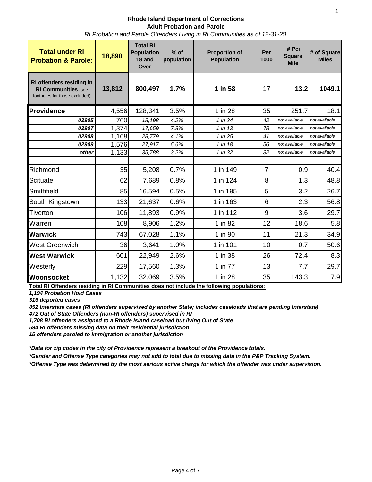**Rhode Island Department of Corrections Adult Probation and Parole** *RI Probation and Parole Offenders Living in RI Communities as of 12-31-20*

| <b>Total under RI</b><br><b>Probation &amp; Parole:</b>                                 | 18,890 | <b>Total RI</b><br><b>Population</b><br>18 and<br>Over | $%$ of<br>population | <b>Proportion of</b><br><b>Population</b> | Per<br>1000    | # Per<br><b>Square</b><br><b>Mile</b> | # of Square<br><b>Miles</b> |
|-----------------------------------------------------------------------------------------|--------|--------------------------------------------------------|----------------------|-------------------------------------------|----------------|---------------------------------------|-----------------------------|
| RI offenders residing in<br><b>RI Communities (see</b><br>footnotes for those excluded) | 13,812 | 800,497                                                | 1.7%                 | 1 in 58                                   | 17             | 13.2                                  | 1049.1                      |
| <b>Providence</b>                                                                       | 4,556  | 128,341                                                | 3.5%                 | 1 in 28                                   | 35             | 251.7                                 | 18.1                        |
| 02905                                                                                   | 760    | 18,198                                                 | 4.2%                 | 1 in 24                                   | 42             | not available                         | not available               |
| 02907                                                                                   | 1,374  | 17,659                                                 | 7.8%                 | 1 in 13                                   | 78             | not available                         | not available               |
| 02908                                                                                   | 1,168  | 28,779                                                 | 4.1%                 | 1 in 25                                   | 41             | not available                         | not available               |
| 02909                                                                                   | 1,576  | 27,917                                                 | 5.6%                 | 1 in 18                                   | 56             | not available                         | not available               |
| other                                                                                   | 1,133  | 35,788                                                 | 3.2%                 | 1 in 32                                   | 32             | not available                         | not available               |
| Richmond                                                                                | 35     | 5,208                                                  | 0.7%                 | 1 in 149                                  | $\overline{7}$ | 0.9                                   | 40.4                        |
| Scituate                                                                                | 62     | 7,689                                                  | 0.8%                 | 1 in 124                                  | 8              | 1.3                                   | 48.8                        |
| Smithfield                                                                              | 85     | 16,594                                                 | 0.5%                 | 1 in 195                                  | 5              | 3.2                                   | 26.7                        |
| South Kingstown                                                                         | 133    | 21,637                                                 | 0.6%                 | 1 in 163                                  | 6              | 2.3                                   | 56.8                        |
| <b>Tiverton</b>                                                                         | 106    | 11,893                                                 | 0.9%                 | 1 in 112                                  | 9              | 3.6                                   | 29.7                        |
| Warren                                                                                  | 108    | 8,906                                                  | 1.2%                 | 1 in 82                                   | 12             | 18.6                                  | 5.8                         |
| <b>Warwick</b>                                                                          | 743    | 67,028                                                 | 1.1%                 | 1 in 90                                   | 11             | 21.3                                  | 34.9                        |
| West Greenwich                                                                          | 36     | 3,641                                                  | 1.0%                 | 1 in 101                                  | 10             | 0.7                                   | 50.6                        |
| <b>West Warwick</b>                                                                     | 601    | 22,949                                                 | 2.6%                 | 1 in 38                                   | 26             | 72.4                                  | 8.3                         |
| Westerly                                                                                | 229    | 17,560                                                 | 1.3%                 | 1 in 77                                   | 13             | 7.7                                   | 29.7                        |
| Woonsocket                                                                              | 1,132  | 32,069                                                 | 3.5%                 | 1 in 28                                   | 35             | 143.3                                 | 7.9                         |

**Total RI Offenders residing in RI Communities does not include the following populations:** 

*1,194 Probation Hold Cases*

*316 deported cases* 

*852 Interstate cases (RI offenders supervised by another State; includes caseloads that are pending Interstate)* 

*472 Out of State Offenders (non-RI offenders) supervised in RI* 

*1,708 RI offenders assigned to a Rhode Island caseload but living Out of State*

*594 RI offenders missing data on their residential jurisdiction 15 offenders paroled to Immigration or another jurisdiction*

*\*Data for zip codes in the city of Providence represent a breakout of the Providence totals.*

*\*Gender and Offense Type categories may not add to total due to missing data in the P&P Tracking System.*

*\*Offense Type was determined by the most serious active charge for which the offender was under supervision.*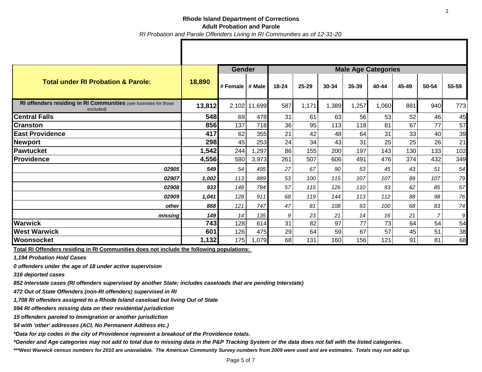### **Rhode Island Department of Corrections Adult Probation and Parole** *RI Probation and Parole Offenders Living in RI Communities as of 12-31-20*

|                                                                               |        | <b>Gender</b>       |              | <b>Male Age Categories</b> |       |       |       |       |       |       |       |
|-------------------------------------------------------------------------------|--------|---------------------|--------------|----------------------------|-------|-------|-------|-------|-------|-------|-------|
| <b>Total under RI Probation &amp; Parole:</b>                                 | 18,890 | I # Female I # Male |              | $18 - 24$                  | 25-29 | 30-34 | 35-39 | 40-44 | 45-49 | 50-54 | 55-59 |
| RI offenders residing in RI Communities (see footnotes for those<br>excluded) | 13,812 |                     | 2,102 11,699 | 587                        | 1,171 | 1,389 | 1,257 | 1,060 | 881   | 940   | 773   |
| <b>Central Falls</b>                                                          | 548    | 69                  | 478          | 31                         | 61    | 63    | 56    | 53    | 52    | 46    | 45    |
| <b>Cranston</b>                                                               | 856    | 137                 | 718          | 36                         | 95    | 113   | 118   | 81    | 67    | 77    | 57    |
| <b>East Providence</b>                                                        | 417    | 62                  | 355          | 21                         | 42    | 48    | 64    | 31    | 33    | 40    | 39    |
| Newport                                                                       | 298    | 45                  | 253          | 24                         | 34    | 43    | 31    | 25    | 25    | 26    | 21    |
| <b>Pawtucket</b>                                                              | 1,542  | 244                 | 1,297        | 86                         | 155   | 200   | 197   | 143   | 130   | 133   | 102   |
| <b>Providence</b>                                                             | 4,556  | 580                 | 3,973        | 261                        | 507   | 606   | 491   | 476   | 374   | 432   | 349   |
| 02905                                                                         | 549    | 54                  | 495          | 27                         | 67    | 90    | 53    | 45    | 43    | 51    | 54    |
| 02907                                                                         | 1,002  | 113                 | 889          | 53                         | 100   | 115   | 107   | 107   | 89    | 107   | 79    |
| 02908                                                                         | 933    | 148                 | 784          | 57                         | 115   | 126   | 110   | 93    | 62    | 85    | 57    |
| 02909                                                                         | 1,041  | 128                 | 911          | 68                         | 119   | 144   | 113   | 112   | 88    | 98    | 76    |
| other                                                                         | 868    | 121                 | 747          | 47                         | 81    | 108   | 93    | 100   | 68    | 83    | 74    |
| missing!                                                                      | 149    | 14                  | 135          | 9                          | 23    | 21    | 14    | 16    | 21    |       | 9     |
| <b>Warwick</b>                                                                | 743    | 128                 | 614          | 31                         | 82    | 97    | 77    | 73    | 64    | 54    | 54    |
| <b>West Warwick</b>                                                           | 601    | 126                 | 475          | 29                         | 64    | 59    | 67    | 57    | 45    | 51    | 38    |
| <b>Woonsocket</b>                                                             | 1,132  | 175                 | 1,079        | 68                         | 131   | 160   | 156   | 121   | 91    | 81    | 68    |

**Total RI Offenders residing in RI Communities does not include the following populations:** 

*1,194 Probation Hold Cases*

*0 offenders under the age of 18 under active supervision*

*316 deported cases* 

*852 Interstate cases (RI offenders supervised by another State; includes caseloads that are pending Interstate)* 

*472 Out of State Offenders (non-RI offenders) supervised in RI* 

*1,708 RI offenders assigned to a Rhode Island caseload but living Out of State*

*594 RI offenders missing data on their residential jurisdiction*

*15 offenders paroled to Immigration or another jurisdiction*

*54 with 'other' addresses (ACI, No Permanent Address etc.)*

*\*Data for zip codes in the city of Providence represent a breakout of the Providence totals.*

*\*Gender and Age categories may not add to total due to missing data in the P&P Tracking System or the data does not fall with the listed categories.*

*\*\*\*West Warwick census numbers for 2010 are unavailable. The American Community Survey numbers from 2009 were used and are estimates. Totals may not add up.*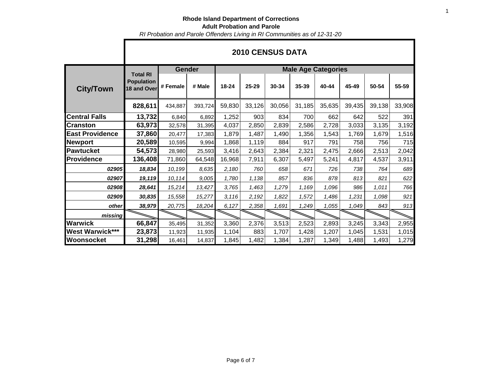*RI Probation and Parole Offenders Living in RI Communities as of 12-31-20*

|                        |                                                     | <b>Gender</b> |         | <b>Male Age Categories</b> |        |        |        |        |        |        |        |  |  |
|------------------------|-----------------------------------------------------|---------------|---------|----------------------------|--------|--------|--------|--------|--------|--------|--------|--|--|
| <b>City/Town</b>       | <b>Total RI</b><br><b>Population</b><br>18 and Over | # Female      | # Male  | $18 - 24$                  | 25-29  | 30-34  | 35-39  | 40-44  | 45-49  | 50-54  | 55-59  |  |  |
|                        | 828,611                                             | 434,887       | 393,724 | 59,830                     | 33,126 | 30,056 | 31,185 | 35,635 | 39,435 | 39,138 | 33,908 |  |  |
| <b>Central Falls</b>   | 13,732                                              | 6,840         | 6,892   | 1,252                      | 903    | 834    | 700    | 662    | 642    | 522    | 391    |  |  |
| <b>Cranston</b>        | 63,973                                              | 32,578        | 31,395  | 4,037                      | 2,850  | 2,839  | 2,586  | 2,728  | 3,033  | 3,135  | 3,192  |  |  |
| <b>East Providence</b> | 37,860                                              | 20,477        | 17,383  | 1,879                      | 1,487  | 1,490  | 1,356  | 1,543  | 1,769  | 1,679  | 1,516  |  |  |
| <b>Newport</b>         | 20,589                                              | 10,595        | 9,994   | 1,868                      | 1,119  | 884    | 917    | 791    | 758    | 756    | 715    |  |  |
| <b>Pawtucket</b>       | 54,573                                              | 28,980        | 25,593  | 3,416                      | 2,643  | 2,384  | 2,321  | 2,475  | 2,666  | 2,513  | 2,042  |  |  |
| <b>Providence</b>      | 136,408                                             | 71,860        | 64,548  | 16,968                     | 7,911  | 6,307  | 5,497  | 5,241  | 4,817  | 4,537  | 3,911  |  |  |
| 02905                  | 18,834                                              | 10,199        | 8,635   | 2,180                      | 760    | 658    | 671    | 726    | 738    | 764    | 689    |  |  |
| 02907                  | 19,119                                              | 10,114        | 9,005   | 1,780                      | 1,138  | 857    | 836    | 878    | 813    | 821    | 622    |  |  |
| 02908                  | 28,641                                              | 15,214        | 13,427  | 3,765                      | 1,463  | 1,279  | 1,169  | 1,096  | 986    | 1,011  | 766    |  |  |
| 02909                  | 30,835                                              | 15,558        | 15,277  | 3,116                      | 2,192  | 1,822  | 1,572  | 1,486  | 1,231  | 1,098  | 921    |  |  |
| other                  | 38,979                                              | 20,775        | 18,204  | 6,127                      | 2,358  | 1,691  | 1,249  | 1,055  | 1,049  | 843    | 913    |  |  |
| missing                |                                                     |               |         |                            |        |        |        |        |        |        |        |  |  |
| <b>Warwick</b>         | 66,847                                              | 35,495        | 31,352  | 3,360                      | 2,376  | 3,513  | 2,523  | 2,893  | 3,245  | 3,343  | 2,955  |  |  |
| <b>West Warwick***</b> | 23,873                                              | 11,923        | 11,935  | 1,104                      | 883    | 1,707  | 1,428  | 1,207  | 1,045  | 1,531  | 1,015  |  |  |
| Woonsocket             | 31,298                                              | 16,461        | 14,837  | 1,845                      | 1,482  | 1,384  | 1,287  | 1,349  | 1,488  | 1,493  | 1,279  |  |  |

## **2010 CENSUS DATA**